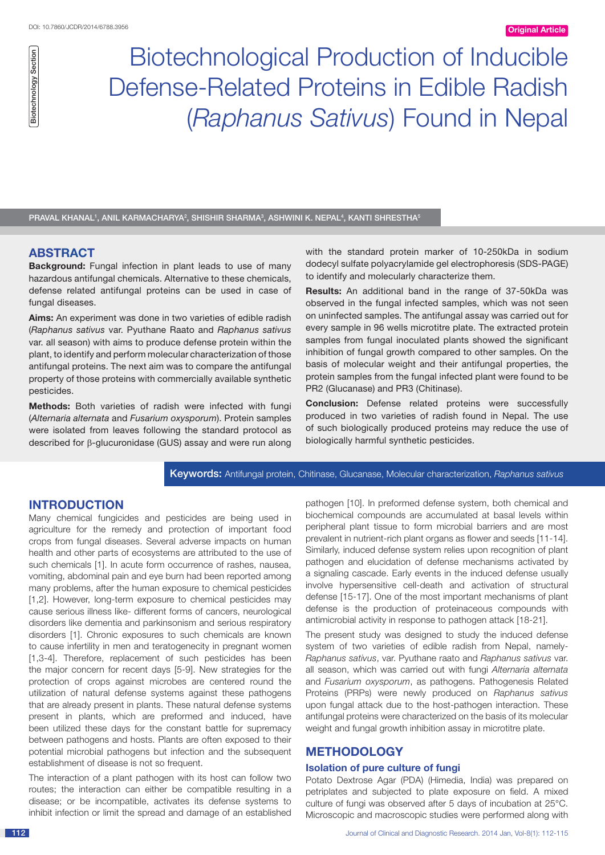Biotechnological Production of Inducible Defense-Related Proteins in Edible Radish (*Raphanus Sativus*) Found in Nepal

PRAVAL KHANAL<sup>1</sup>, ANIL KARMACHARYA<sup>2</sup>, SHISHIR SHARMA<sup>3</sup>, ASHWINI K. NEPAL<sup>4</sup>, KANTI SHRESTHA<sup>5</sup>

## **ABSTRACT**

**Background:** Fungal infection in plant leads to use of many hazardous antifungal chemicals. Alternative to these chemicals, defense related antifungal proteins can be used in case of fungal diseases.

**Aims:** An experiment was done in two varieties of edible radish (*Raphanus sativus* var. Pyuthane Raato and *Raphanus sativus*  var. all season) with aims to produce defense protein within the plant, to identify and perform molecular characterization of those antifungal proteins. The next aim was to compare the antifungal property of those proteins with commercially available synthetic pesticides.

**Methods:** Both varieties of radish were infected with fungi (*Alternaria alternata* and *Fusarium oxysporum*). Protein samples were isolated from leaves following the standard protocol as described for β-glucuronidase (GUS) assay and were run along with the standard protein marker of 10-250kDa in sodium dodecyl sulfate polyacrylamide gel electrophoresis (SDS-PAGE) to identify and molecularly characterize them.

**Results:** An additional band in the range of 37-50kDa was observed in the fungal infected samples, which was not seen on uninfected samples. The antifungal assay was carried out for every sample in 96 wells microtitre plate. The extracted protein samples from fungal inoculated plants showed the significant inhibition of fungal growth compared to other samples. On the basis of molecular weight and their antifungal properties, the protein samples from the fungal infected plant were found to be PR2 (Glucanase) and PR3 (Chitinase).

**Conclusion:** Defense related proteins were successfully produced in two varieties of radish found in Nepal. The use of such biologically produced proteins may reduce the use of biologically harmful synthetic pesticides.

## Keywords: Antifungal protein, Chitinase, Glucanase, Molecular characterization, *Raphanus sativus*

# **Introduction**

Many chemical fungicides and pesticides are being used in agriculture for the remedy and protection of important food crops from fungal diseases. Several adverse impacts on human health and other parts of ecosystems are attributed to the use of such chemicals [1]. In acute form occurrence of rashes, nausea, vomiting, abdominal pain and eye burn had been reported among many problems, after the human exposure to chemical pesticides [1,2]. However, long-term exposure to chemical pesticides may cause serious illness like- different forms of cancers, neurological disorders like dementia and parkinsonism and serious respiratory disorders [1]. Chronic exposures to such chemicals are known to cause infertility in men and teratogenecity in pregnant women [1,3-4]. Therefore, replacement of such pesticides has been the major concern for recent days [5-9]. New strategies for the protection of crops against microbes are centered round the utilization of natural defense systems against these pathogens that are already present in plants. These natural defense systems present in plants, which are preformed and induced, have been utilized these days for the constant battle for supremacy between pathogens and hosts. Plants are often exposed to their potential microbial pathogens but infection and the subsequent establishment of disease is not so frequent.  $\begin{tabular}{|c|c|c|c|c|} \hline \multicolumn{1}{|c|}{\textbf{B}}&\textbf{B} &\textbf{B} &\textbf{B} &\textbf{B} &\textbf{B} &\textbf{B} &\textbf{B} &\textbf{B} &\textbf{B} &\textbf{B} &\textbf{B} &\textbf{B} &\textbf{B} &\textbf{B} &\textbf{B} &\textbf{B} &\textbf{B} &\textbf{B} &\textbf{B} &\textbf{B} &\textbf{B} &\textbf{B} &\textbf{B} &\textbf{B} &\textbf{B} &\textbf{B}$ 

The interaction of a plant pathogen with its host can follow two routes; the interaction can either be compatible resulting in a disease; or be incompatible, activates its defense systems to pathogen [10]. In preformed defense system, both chemical and biochemical compounds are accumulated at basal levels within peripheral plant tissue to form microbial barriers and are most prevalent in nutrient-rich plant organs as flower and seeds [11-14]. Similarly, induced defense system relies upon recognition of plant pathogen and elucidation of defense mechanisms activated by a signaling cascade. Early events in the induced defense usually involve hypersensitive cell-death and activation of structural defense [15-17]. One of the most important mechanisms of plant defense is the production of proteinaceous compounds with antimicrobial activity in response to pathogen attack [18-21].

The present study was designed to study the induced defense system of two varieties of edible radish from Nepal, namely-*Raphanus sativus*, var. Pyuthane raato and *Raphanus sativus* var. all season, which was carried out with fungi *Alternaria alternata* and *Fusarium oxysporum*, as pathogens. Pathogenesis Related Proteins (PRPs) were newly produced on *Raphanus sativus* upon fungal attack due to the host-pathogen interaction. These antifungal proteins were characterized on the basis of its molecular weight and fungal growth inhibition assay in microtitre plate.

## **METHODOLOGY**

## **Isolation of pure culture of fungi**

Potato Dextrose Agar (PDA) (Himedia, India) was prepared on petriplates and subjected to plate exposure on field. A mixed culture of fungi was observed after 5 days of incubation at 25°C. Microscopic and macroscopic studies were performed along with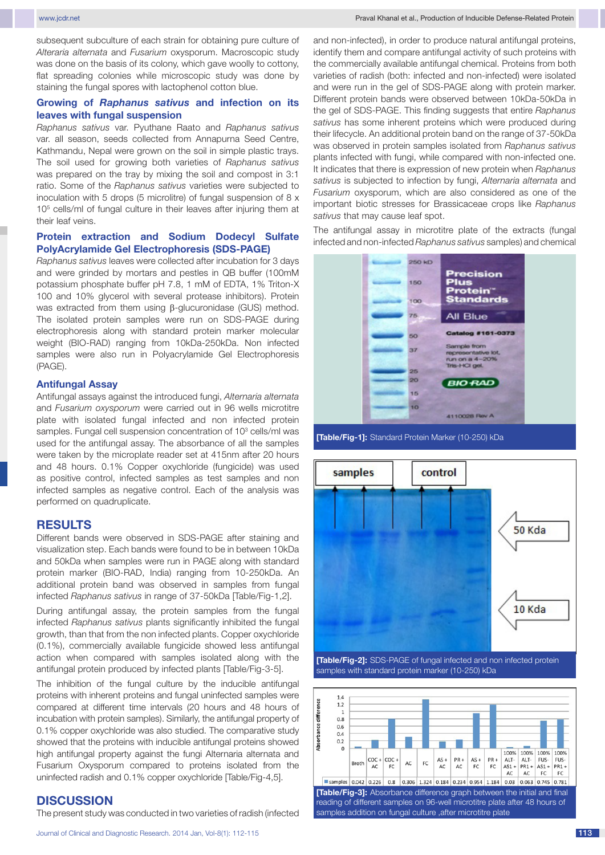subsequent subculture of each strain for obtaining pure culture of *Alteraria alternata* and *Fusarium* oxysporum. Macroscopic study was done on the basis of its colony, which gave woolly to cottony, flat spreading colonies while microscopic study was done by staining the fungal spores with lactophenol cotton blue.

### **Growing of** *Raphanus sativus* **and infection on its leaves with fungal suspension**

*Raphanus sativus* var. Pyuthane Raato and *Raphanus sativus* var. all season, seeds collected from Annapurna Seed Centre, Kathmandu, Nepal were grown on the soil in simple plastic trays. The soil used for growing both varieties of *Raphanus sativus* was prepared on the tray by mixing the soil and compost in 3:1 ratio. Some of the *Raphanus sativus* varieties were subjected to inoculation with 5 drops (5 microlitre) of fungal suspension of 8 x 105 cells/ml of fungal culture in their leaves after injuring them at their leaf veins.

## **Protein extraction and Sodium Dodecyl Sulfate PolyAcrylamide Gel Electrophoresis (SDS-PAGE)**

*Raphanus sativus* leaves were collected after incubation for 3 days and were grinded by mortars and pestles in QB buffer (100mM potassium phosphate buffer pH 7.8, 1 mM of EDTA, 1% Triton-X 100 and 10% glycerol with several protease inhibitors). Protein was extracted from them using β-glucuronidase (GUS) method. The isolated protein samples were run on SDS-PAGE during electrophoresis along with standard protein marker molecular weight (BIO-RAD) ranging from 10kDa-250kDa. Non infected samples were also run in Polyacrylamide Gel Electrophoresis (PAGE).

## **Antifungal Assay**

Antifungal assays against the introduced fungi, *Alternaria alternata* and *Fusarium oxysporum* were carried out in 96 wells microtitre plate with isolated fungal infected and non infected protein samples. Fungal cell suspension concentration of 10<sup>3</sup> cells/ml was used for the antifungal assay. The absorbance of all the samples were taken by the microplate reader set at 415nm after 20 hours and 48 hours. 0.1% Copper oxychloride (fungicide) was used as positive control, infected samples as test samples and non infected samples as negative control. Each of the analysis was performed on quadruplicate.

#### **RESULTS**

Different bands were observed in SDS-PAGE after staining and visualization step. Each bands were found to be in between 10kDa and 50kDa when samples were run in PAGE along with standard protein marker (BIO-RAD, India) ranging from 10-250kDa. An additional protein band was observed in samples from fungal infected *Raphanus sativus* in range of 37-50kDa [Table/Fig-1,2].

During antifungal assay, the protein samples from the fungal infected *Raphanus sativus* plants significantly inhibited the fungal growth, than that from the non infected plants. Copper oxychloride (0.1%), commercially available fungicide showed less antifungal action when compared with samples isolated along with the antifungal protein produced by infected plants [Table/Fig-3-5].

The inhibition of the fungal culture by the inducible antifungal proteins with inherent proteins and fungal uninfected samples were compared at different time intervals (20 hours and 48 hours of incubation with protein samples). Similarly, the antifungal property of 0.1% copper oxychloride was also studied. The comparative study showed that the proteins with inducible antifungal proteins showed high antifungal property against the fungi Alternaria alternata and Fusarium Oxysporum compared to proteins isolated from the uninfected radish and 0.1% copper oxychloride [Table/Fig-4,5].

### **DISCUSSION**

The present study was conducted in two varieties of radish (infected

and non-infected), in order to produce natural antifungal proteins, identify them and compare antifungal activity of such proteins with the commercially available antifungal chemical. Proteins from both varieties of radish (both: infected and non-infected) were isolated and were run in the gel of SDS-PAGE along with protein marker. Different protein bands were observed between 10kDa-50kDa in the gel of SDS-PAGE. This finding suggests that entire *Raphanus sativus* has some inherent proteins which were produced during their lifecycle. An additional protein band on the range of 37-50kDa was observed in protein samples isolated from *Raphanus sativus* plants infected with fungi, while compared with non-infected one. It indicates that there is expression of new protein when *Raphanus sativus* is subjected to infection by fungi, *Alternaria alternata* and *Fusarium* oxysporum, which are also considered as one of the important biotic stresses for Brassicaceae crops like *Raphanus sativus* that may cause leaf spot.

The antifungal assay in microtitre plate of the extracts (fungal infected and non-infected *Raphanus sativus* samples) and chemical



**[Table/Fig-1]:** Standard Protein Marker (10-250) kDa



**[Table/Fig-2]:** SDS-PAGE of fungal infected and non infected protein samples with standard protein marker (10-250) kDa

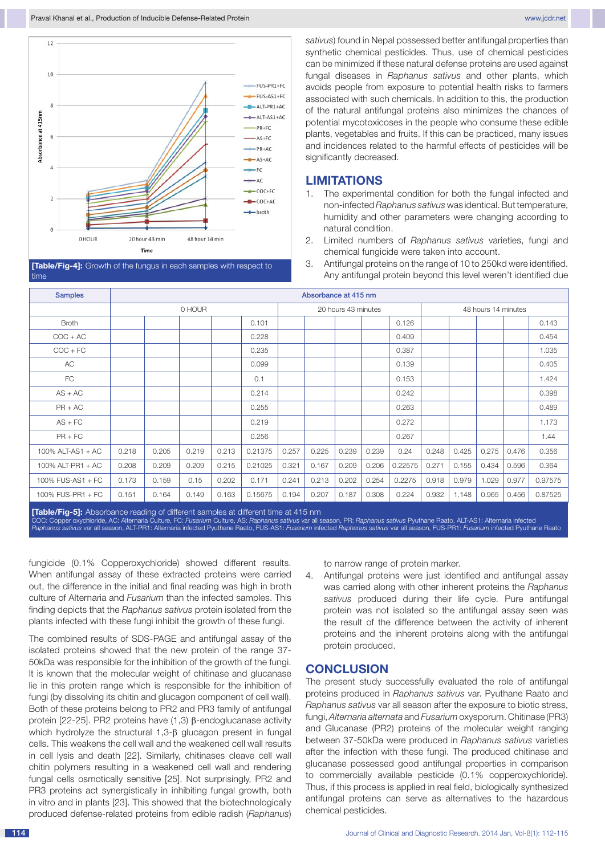



*sativus*) found in Nepal possessed better antifungal properties than synthetic chemical pesticides. Thus, use of chemical pesticides can be minimized if these natural defense proteins are used against fungal diseases in *Raphanus sativus* and other plants, which avoids people from exposure to potential health risks to farmers associated with such chemicals. In addition to this, the production of the natural antifungal proteins also minimizes the chances of potential mycotoxicoses in the people who consume these edible plants, vegetables and fruits. If this can be practiced, many issues and incidences related to the harmful effects of pesticides will be significantly decreased.

## **LIMITATIONS**

- 1. The experimental condition for both the fungal infected and non-infected *Raphanus sativus* was identical. But temperature, humidity and other parameters were changing according to natural condition.
- 2. Limited numbers of *Raphanus sativus* varieties, fungi and chemical fungicide were taken into account.
- 3. Antifungal proteins on the range of 10 to 250kd were identified. Any antifungal protein beyond this level weren't identified due

| <b>Samples</b>    | Absorbance at 415 nm |       |       |       |         |                     |       |       |       |         |                     |       |       |       |         |
|-------------------|----------------------|-------|-------|-------|---------|---------------------|-------|-------|-------|---------|---------------------|-------|-------|-------|---------|
|                   | 0 HOUR               |       |       |       |         | 20 hours 43 minutes |       |       |       |         | 48 hours 14 minutes |       |       |       |         |
| <b>Broth</b>      |                      |       |       |       | 0.101   |                     |       |       |       | 0.126   |                     |       |       |       | 0.143   |
| $COC + AC$        |                      |       |       |       | 0.228   |                     |       |       |       | 0.409   |                     |       |       |       | 0.454   |
| $COC + FC$        |                      |       |       |       | 0.235   |                     |       |       |       | 0.387   |                     |       |       |       | 1.035   |
| AC                |                      |       |       |       | 0.099   |                     |       |       |       | 0.139   |                     |       |       |       | 0.405   |
| FC                |                      |       |       |       | 0.1     |                     |       |       |       | 0.153   |                     |       |       |       | 1.424   |
| $AS + AC$         |                      |       |       |       | 0.214   |                     |       |       |       | 0.242   |                     |       |       |       | 0.398   |
| $PR + AC$         |                      |       |       |       | 0.255   |                     |       |       |       | 0.263   |                     |       |       |       | 0.489   |
| $AS + FC$         |                      |       |       |       | 0.219   |                     |       |       |       | 0.272   |                     |       |       |       | 1.173   |
| $PR + FC$         |                      |       |       |       | 0.256   |                     |       |       |       | 0.267   |                     |       |       |       | 1.44    |
| 100% ALT-AS1 + AC | 0.218                | 0.205 | 0.219 | 0.213 | 0.21375 | 0.257               | 0.225 | 0.239 | 0.239 | 0.24    | 0.248               | 0.425 | 0.275 | 0.476 | 0.356   |
| 100% ALT-PR1 + AC | 0.208                | 0.209 | 0.209 | 0.215 | 0.21025 | 0.321               | 0.167 | 0.209 | 0.206 | 0.22575 | 0.271               | 0.155 | 0.434 | 0.596 | 0.364   |
| 100% FUS-AS1 + FC | 0.173                | 0.159 | 0.15  | 0.202 | 0.171   | 0.241               | 0.213 | 0.202 | 0.254 | 0.2275  | 0.918               | 0.979 | 1.029 | 0.977 | 0.97575 |
| 100% FUS-PR1 + FC | 0.151                | 0.164 | 0.149 | 0.163 | 0.15675 | 0.194               | 0.207 | 0.187 | 0.308 | 0.224   | 0.932               | 1.148 | 0.965 | 0.456 | 0.87525 |

**[Table/Fig-5]:** Absorbance reading of different samples at different time at 415 nm COC: Copper oxychloride, AC: Alternaria Culture, FC: *Fusarium* Culture, AS: *Raphanus sativus* var all season, PR: *Raphanus sativus* Pyuthane Raato, ALT-AS1: Alternaria infected<br>*Raphanus sativus* var all season, ALT-PR1

fungicide (0.1% Copperoxychloride) showed different results. When antifungal assay of these extracted proteins were carried out, the difference in the initial and final reading was high in broth culture of Alternaria and *Fusarium* than the infected samples. This finding depicts that the *Raphanus sativus* protein isolated from the plants infected with these fungi inhibit the growth of these fungi.

The combined results of SDS-PAGE and antifungal assay of the isolated proteins showed that the new protein of the range 37- 50kDa was responsible for the inhibition of the growth of the fungi. It is known that the molecular weight of chitinase and glucanase lie in this protein range which is responsible for the inhibition of fungi (by dissolving its chitin and glucagon component of cell wall). Both of these proteins belong to PR2 and PR3 family of antifungal protein [22-25]. PR2 proteins have (1,3) β-endoglucanase activity which hydrolyze the structural 1,3-β glucagon present in fungal cells. This weakens the cell wall and the weakened cell wall results in cell lysis and death [22]. Similarly, chitinases cleave cell wall chitin polymers resulting in a weakened cell wall and rendering fungal cells osmotically sensitive [25]. Not surprisingly, PR2 and PR3 proteins act synergistically in inhibiting fungal growth, both in vitro and in plants [23]. This showed that the biotechnologically produced defense-related proteins from edible radish (*Raphanus*) to narrow range of protein marker.

4. Antifungal proteins were just identified and antifungal assay was carried along with other inherent proteins the *Raphanus sativus* produced during their life cycle. Pure antifungal protein was not isolated so the antifungal assay seen was the result of the difference between the activity of inherent proteins and the inherent proteins along with the antifungal protein produced.

### **CONCLUSION**

The present study successfully evaluated the role of antifungal proteins produced in *Raphanus sativus* var. Pyuthane Raato and *Raphanus sativus* var all season after the exposure to biotic stress, fungi, *Alternaria alternata* and *Fusarium* oxysporum. Chitinase (PR3) and Glucanase (PR2) proteins of the molecular weight ranging between 37-50kDa were produced in *Raphanus sativus* varieties after the infection with these fungi. The produced chitinase and glucanase possessed good antifungal properties in comparison to commercially available pesticide (0.1% copperoxychloride). Thus, if this process is applied in real field, biologically synthesized antifungal proteins can serve as alternatives to the hazardous chemical pesticides.